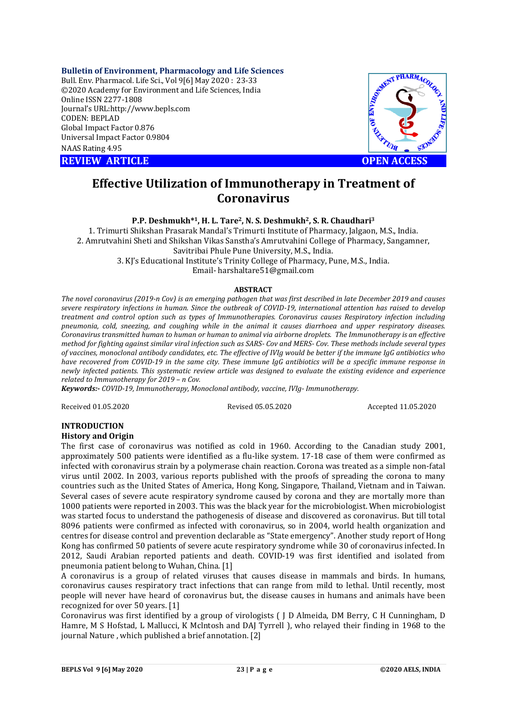### **Bulletin of Environment, Pharmacology and Life Sciences**

Bull. Env. Pharmacol. Life Sci., Vol 9[6] May 2020 : 23-33 ©2020 Academy for Environment and Life Sciences, India Online ISSN 2277-1808 Journal's URL:<http://www.bepls.com> CODEN: BEPLAD Global Impact Factor 0.876 Universal Impact Factor 0.9804 NAAS Rating 4.95

**REVIEW ARTICLE CONTROLLER CONTROLLER CONTROLLER CONTROLLER CONTROLLER CONTROLLER CONTROLLER CONTROLLER CONTROLLER CONTROLLER CONTROLLER CONTROLLER CONTROLLER CONTROLLER CONTROLLER CONTROLLER CONTROLLER CONTROLLER CONTROLL** 



# **Effective Utilization of Immunotherapy in Treatment of Coronavirus**

**P.P. Deshmukh\*1, H. L. Tare2, N. S. Deshmukh2, S. R. Chaudhari<sup>3</sup>**

1. Trimurti Shikshan Prasarak Mandal's Trimurti Institute of Pharmacy, Jalgaon, M.S., India. 2. Amrutvahini Sheti and Shikshan Vikas Sanstha's Amrutvahini College of Pharmacy, Sangamner, Savitribai Phule Pune University, M.S., India.

3. KJ's Educational Institute's Trinity College of Pharmacy, Pune, M.S., India. Email- [harshaltare51@gmail.com](mailto:harshaltare51@gmail.com)

# **ABSTRACT**

*The novel coronavirus (2019-n Cov) is an emerging pathogen that was first described in late December 2019 and causes severe respiratory infections in human. Since the outbreak of COVID-19, international attention has raised to develop treatment and control option such as types of Immunotherapies. Coronavirus causes Respiratory infection including pneumonia, cold, sneezing, and coughing while in the animal it causes diarrhoea and upper respiratory diseases. Coronavirus transmitted human to human or human to animal via airborne droplets. The Immunotherapy is an effective method for fighting against similar viral infection such as SARS- Cov and MERS- Cov. These methods include several types of vaccines, monoclonal antibody candidates, etc. The effective of IVIg would be better if the immune IgG antibiotics who have recovered from COVID-19 in the same city. These immune IgG antibiotics will be a specific immune response in newly infected patients. This systematic review article was designed to evaluate the existing evidence and experience related to Immunotherapy for 2019 – n Cov.* 

*Keywords:- COVID-19, Immunotherapy, Monoclonal antibody, vaccine, IVIg- Immunotherapy.*

Received 01.05.2020 Revised 05.05.2020 Accepted 11.05.2020

# **INTRODUCTION**

### **History and Origin**

The first case of coronavirus was notified as cold in 1960. According to the Canadian study 2001, approximately 500 patients were identified as a flu-like system. 17-18 case of them were confirmed as infected with coronavirus strain by a polymerase chain reaction. Corona was treated as a simple non-fatal virus until 2002. In 2003, various reports published with the proofs of spreading the corona to many countries such as the United States of America, Hong Kong, Singapore, Thailand, Vietnam and in Taiwan. Several cases of severe acute respiratory syndrome caused by corona and they are mortally more than 1000 patients were reported in 2003. This was the black year for the microbiologist. When microbiologist was started focus to understand the pathogenesis of disease and discovered as coronavirus. But till total 8096 patients were confirmed as infected with coronavirus, so in 2004, world health organization and centres for disease control and prevention declarable as "State emergency". Another study report of Hong Kong has confirmed 50 patients of severe acute respiratory syndrome while 30 of coronavirus infected. In 2012, Saudi Arabian reported patients and death. COVID-19 was first identified and isolated from pneumonia patient belong to Wuhan, China. [1]

A coronavirus is a group of related viruses that causes disease in mammals and birds. In humans, coronavirus causes respiratory tract infections that can range from mild to lethal. Until recently, most people will never have heard of coronavirus but, the disease causes in humans and animals have been recognized for over 50 years. [1]

Coronavirus was first identified by a group of virologists ( J D Almeida, DM Berry, C H Cunningham, D Hamre, M S Hofstad, L Mallucci, K Mclntosh and DAJ Tyrrell ), who relayed their finding in 1968 to the journal Nature , which published a brief annotation. [2]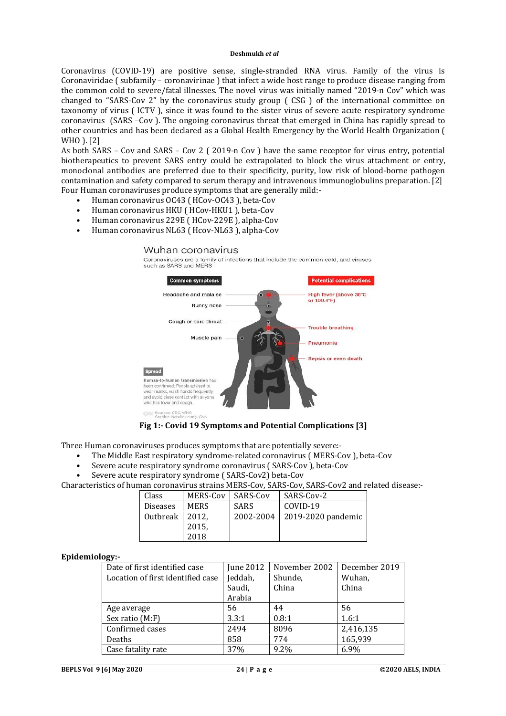Coronavirus (COVID-19) are positive sense, single-stranded RNA virus. Family of the virus is Coronaviridae ( subfamily – coronavirinae ) that infect a wide host range to produce disease ranging from the common cold to severe/fatal illnesses. The novel virus was initially named "2019-n Cov" which was changed to "SARS-Cov 2" by the coronavirus study group ( CSG ) of the international committee on taxonomy of virus ( ICTV ), since it was found to the sister virus of severe acute respiratory syndrome coronavirus (SARS –Cov ). The ongoing coronavirus threat that emerged in China has rapidly spread to other countries and has been declared as a Global Health Emergency by the World Health Organization ( WHO ). [2]

As both SARS – Cov and SARS – Cov 2 ( 2019-n Cov ) have the same receptor for virus entry, potential biotherapeutics to prevent SARS entry could be extrapolated to block the virus attachment or entry, monoclonal antibodies are preferred due to their specificity, purity, low risk of blood-borne pathogen contamination and safety compared to serum therapy and intravenous immunoglobulins preparation. [2] Four Human coronaviruses produce symptoms that are generally mild:-

- Human coronavirus OC43 ( HCov-OC43 ), beta-Cov
- Human coronavirus HKU ( HCov-HKU1 ), beta-Cov
- Human coronavirus 229E ( HCov-229E ), alpha-Cov
- Human coronavirus NL63 ( Hcov-NL63 ), alpha-Cov

### Wuhan coronavirus

Coronaviruses are a family of infections that include the common cold, and viruses<br>such as SARS and MERS



**Fig 1:- Covid 19 Symptoms and Potential Complications [3]**

Three Human coronaviruses produces symptoms that are potentially severe:-

- The Middle East respiratory syndrome-related coronavirus ( MERS-Cov ), beta-Cov
- Severe acute respiratory syndrome coronavirus ( SARS-Cov ), beta-Cov
- Severe acute respiratory syndrome ( SARS-Cov2) beta-Cov

Characteristics of human coronavirus strains MERS-Cov, SARS-Cov, SARS-Cov2 and related disease:-

| Class           | MERS-Cov    | SARS-Cov    | SARS-Cov-2         |
|-----------------|-------------|-------------|--------------------|
| <b>Diseases</b> | <b>MERS</b> | <b>SARS</b> | COVID-19           |
| Outbreak        | 2012.       | 2002-2004   | 2019-2020 pandemic |
|                 | 2015,       |             |                    |
|                 | 2018        |             |                    |

### **Epidemiology:-**

| Date of first identified case     | June 2012 | November 2002 | December 2019 |
|-----------------------------------|-----------|---------------|---------------|
| Location of first identified case | Jeddah,   | Shunde,       | Wuhan,        |
|                                   | Saudi,    | China         | China         |
|                                   | Arabia    |               |               |
| Age average                       | 56        | 44            | 56            |
| Sex ratio (M:F)                   | 3.3:1     | 0.8:1         | 1.6:1         |
| Confirmed cases                   | 2494      | 8096          | 2,416,135     |
| Deaths                            | 858       | 774           | 165,939       |
| Case fatality rate                | 37%       | 9.2%          | 6.9%          |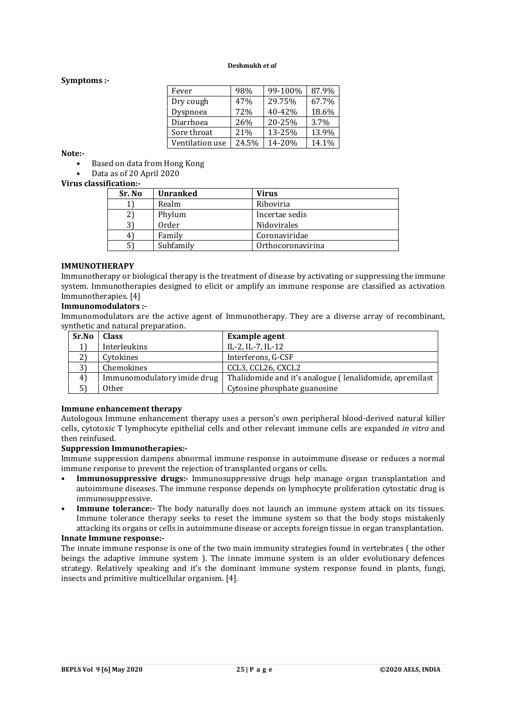# **Symptoms :-**

| Fever           | 98%   | 99-100% | 87.9% |
|-----------------|-------|---------|-------|
| Dry cough       | 47%   | 29.75%  | 67.7% |
| Dyspnoea        | 72%   | 40-42%  | 18.6% |
| Diarrhoea       | 26%   | 20-25%  | 3.7%  |
| Sore throat     | 21%   | 13-25%  | 13.9% |
| Ventilation use | 24.5% | 14-20%  | 14.1% |

**Note:-**

- Based on data from Hong Kong
- Data as of 20 April 2020

# **Virus classification:-**

| Sr. No | <b>Unranked</b> | <b>Virus</b>      |
|--------|-----------------|-------------------|
|        | Realm           | Riboviria         |
|        | Phylum          | Incertae sedis    |
|        | Order           | Nidovirales       |
| 4      | Family          | Coronaviridae     |
| 51     | Subfamily       | Orthocoronavirina |

# **IMMUNOTHERAPY**

Immunotherapy or biological therapy is the treatment of disease by activating or suppressing the immune system. Immunotherapies designed to elicit or amplify an immune response are classified as activation Immunotherapies. [4]

### **Immunomodulators :-**

Immunomodulators are the active agent of Immunotherapy. They are a diverse array of recombinant, synthetic and natural preparation.

| Sr.No | <b>Class</b>                | <b>Example agent</b>                                    |
|-------|-----------------------------|---------------------------------------------------------|
|       | Interleukins                | IL-2, IL-7, IL-12                                       |
| 2)    | Cytokines                   | Interferons, G-CSF                                      |
| 3)    | Chemokines                  | CCL3, CCL26, CXCL2                                      |
| 4)    | Immunomodulatory imide drug | Thalidomide and it's analogue (lenalidomide, apremilast |
|       | <b>Other</b>                | Cytosine phosphate guanosine                            |

### **Immune enhancement therapy**

Autologous Immune enhancement therapy uses a person's own peripheral blood-derived natural killer cells, cytotoxic T lymphocyte epithelial cells and other relevant immune cells are expanded *in vitro* and then reinfused.

### **Suppression Immunotherapies:-**

Immune suppression dampens abnormal immune response in autoimmune disease or reduces a normal immune response to prevent the rejection of transplanted organs or cells.

- **Immunosuppressive drugs:-** Immunosuppressive drugs help manage organ transplantation and autoimmune diseases. The immune response depends on lymphocyte proliferation cytostatic drug is immunosuppressive.
- **Immune tolerance:-** The body naturally does not launch an immune system attack on its tissues. Immune tolerance therapy seeks to reset the immune system so that the body stops mistakenly attacking its organs or cells in autoimmune disease or accepts foreign tissue in organ transplantation.

# **Innate Immune response:-**

The innate immune response is one of the two main immunity strategies found in vertebrates ( the other beings the adaptive immune system ). The innate immune system is an older evolutionary defences strategy. Relatively speaking and it's the dominant immune system response found in plants, fungi, insects and primitive multicellular organism. [4].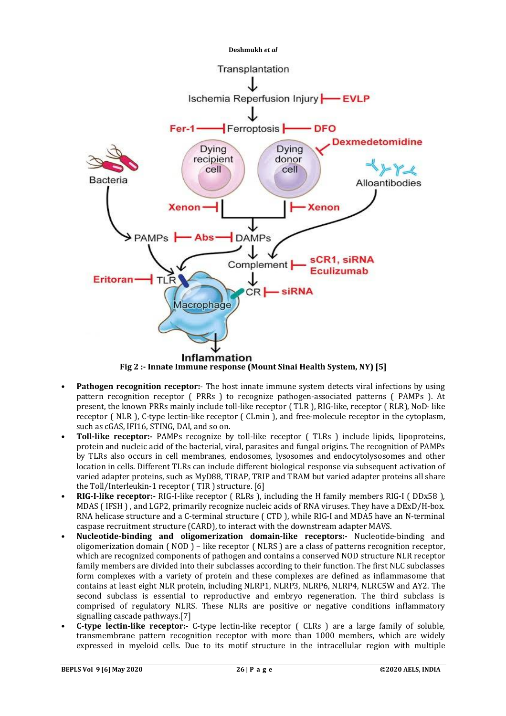

**Fig 2 :- Innate Immune response (Mount Sinai Health System, NY) [5]**

- **Pathogen recognition receptor:** The host innate immune system detects viral infections by using pattern recognition receptor ( PRRs ) to recognize pathogen-associated patterns ( PAMPs ). At present, the known PRRs mainly include toll-like receptor ( TLR ), RIG-like, receptor ( RLR), NoD- like receptor ( NLR ), C-type lectin-like receptor ( CLmin ), and free-molecule receptor in the cytoplasm, such as cGAS, IFI16, STING, DAI, and so on.
- **Toll-like receptor:-** PAMPs recognize by toll-like receptor ( TLRs ) include lipids, lipoproteins, protein and nucleic acid of the bacterial, viral, parasites and fungal origins. The recognition of PAMPs by TLRs also occurs in cell membranes, endosomes, lysosomes and endocytolysosomes and other location in cells. Different TLRs can include different biological response via subsequent activation of varied adapter proteins, such as MyD88, TIRAP, TRIP and TRAM but varied adapter proteins all share the Toll/Interleukin-1 receptor ( TIR ) structure. [6]
- **RIG-I-like receptor:-** RIG-I-like receptor ( RLRs ), including the H family members RIG-I ( DDx58 ), MDAS ( IFSH ) , and LGP2, primarily recognize nucleic acids of RNA viruses. They have a DExD/H-box. RNA helicase structure and a C-terminal structure ( CTD ), while RIG-I and MDA5 have an N-terminal caspase recruitment structure (CARD), to interact with the downstream adapter MAVS.
- **Nucleotide-binding and oligomerization domain-like receptors:-** Nucleotide-binding and oligomerization domain ( NOD ) – like receptor ( NLRS ) are a class of patterns recognition receptor, which are recognized components of pathogen and contains a conserved NOD structure NLR receptor family members are divided into their subclasses according to their function. The first NLC subclasses form complexes with a variety of protein and these complexes are defined as inflammasome that contains at least eight NLR protein, including NLRP1, NLRP3, NLRP6, NLRP4, NLRC5W and AY2. The second subclass is essential to reproductive and embryo regeneration. The third subclass is comprised of regulatory NLRS. These NLRs are positive or negative conditions inflammatory signalling cascade pathways.[7]
- **C-type lectin-like receptor:-** C-type lectin-like receptor ( CLRs ) are a large family of soluble, transmembrane pattern recognition receptor with more than 1000 members, which are widely expressed in myeloid cells. Due to its motif structure in the intracellular region with multiple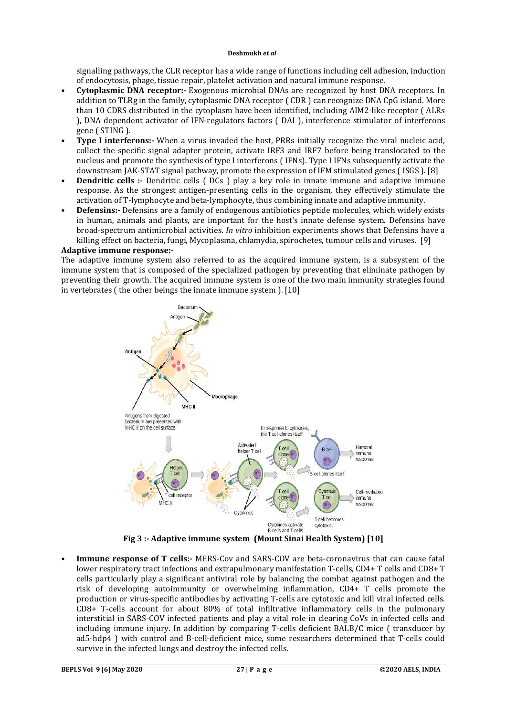signalling pathways, the CLR receptor has a wide range of functions including cell adhesion, induction of endocytosis, phage, tissue repair, platelet activation and natural immune response.

- **Cytoplasmic DNA receptor:-** Exogenous microbial DNAs are recognized by host DNA receptors. In addition to TLRg in the family, cytoplasmic DNA receptor ( CDR ) can recognize DNA CpG island. More than 10 CDRS distributed in the cytoplasm have been identified, including AIM2-like receptor ( ALRs ), DNA dependent activator of IFN-regulators factors ( DAI ), interference stimulator of interferons gene ( STING ).
- **Type I interferons:-** When a virus invaded the host, PRRs initially recognize the viral nucleic acid, collect the specific signal adapter protein, activate IRF3 and IRF7 before being translocated to the nucleus and promote the synthesis of type I interferons ( IFNs). Type I IFNs subsequently activate the downstream JAK-STAT signal pathway, promote the expression of IFM stimulated genes ( ISGS ). [8]
- **Dendritic cells :-** Dendritic cells (DCs) play a key role in innate immune and adaptive immune response. As the strongest antigen-presenting cells in the organism, they effectively stimulate the activation of T-lymphocyte and beta-lymphocyte, thus combining innate and adaptive immunity.
- **Defensins:-** Defensins are a family of endogenous antibiotics peptide molecules, which widely exists in human, animals and plants, are important for the host's innate defense system. Defensins have broad-spectrum antimicrobial activities. *In vitro* inhibition experiments shows that Defensins have a killing effect on bacteria, fungi, Mycoplasma, chlamydia, spirochetes, tumour cells and viruses. [9]

# **Adaptive immune response:-**

The adaptive immune system also referred to as the acquired immune system, is a subsystem of the immune system that is composed of the specialized pathogen by preventing that eliminate pathogen by preventing their growth. The acquired immune system is one of the two main immunity strategies found in vertebrates ( the other beings the innate immune system ). [10]



• **Immune response of T cells:-** MERS-Cov and SARS-COV are beta-coronavirus that can cause fatal lower respiratory tract infections and extrapulmonary manifestation T-cells, CD4+ T cells and CD8+ T cells particularly play a significant antiviral role by balancing the combat against pathogen and the risk of developing autoimmunity or overwhelming inflammation, CD4+ T cells promote the production or virus-specific antibodies by activating T-cells are cytotoxic and kill viral infected cells. CD8+ T-cells account for about 80% of total infiltrative inflammatory cells in the pulmonary interstitial in SARS-COV infected patients and play a vital role in clearing CoVs in infected cells and including immune injury. In addition by comparing T-cells deficient BALB/C mice ( transducer by ad5-hdp4 ) with control and B-cell-deficient mice, some researchers determined that T-cells could survive in the infected lungs and destroy the infected cells.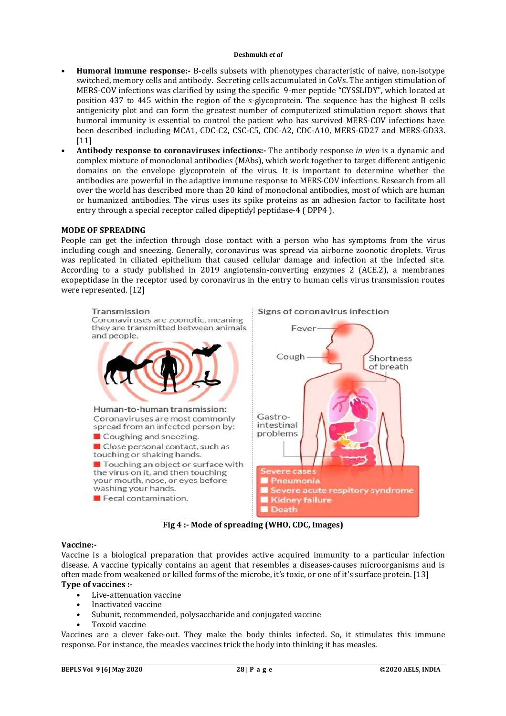- **Humoral immune response:-** B-cells subsets with phenotypes characteristic of naive, non-isotype switched, memory cells and antibody. Secreting cells accumulated in CoVs. The antigen stimulation of MERS-COV infections was clarified by using the specific 9-mer peptide "CYSSLIDY", which located at position 437 to 445 within the region of the s-glycoprotein. The sequence has the highest B cells antigenicity plot and can form the greatest number of computerized stimulation report shows that humoral immunity is essential to control the patient who has survived MERS-COV infections have been described including MCA1, CDC-C2, CSC-C5, CDC-A2, CDC-A10, MERS-GD27 and MERS-GD33. [11]
- **Antibody response to coronaviruses infections:-** The antibody response *in vivo* is a dynamic and complex mixture of monoclonal antibodies (MAbs), which work together to target different antigenic domains on the envelope glycoprotein of the virus. It is important to determine whether the antibodies are powerful in the adaptive immune response to MERS-COV infections. Research from all over the world has described more than 20 kind of monoclonal antibodies, most of which are human or humanized antibodies. The virus uses its spike proteins as an adhesion factor to facilitate host entry through a special receptor called dipeptidyl peptidase-4 ( DPP4 ).

# **MODE OF SPREADING**

People can get the infection through close contact with a person who has symptoms from the virus including cough and sneezing. Generally, coronavirus was spread via airborne zoonotic droplets. Virus was replicated in ciliated epithelium that caused cellular damage and infection at the infected site. According to a study published in 2019 angiotensin-converting enzymes 2 (ACE.2), a membranes exopeptidase in the receptor used by coronavirus in the entry to human cells virus transmission routes were represented. [12]



**Fig 4 :- Mode of spreading (WHO, CDC, Images)**

### **Vaccine:-**

Vaccine is a biological preparation that provides active acquired immunity to a particular infection disease. A vaccine typically contains an agent that resembles a diseases-causes microorganisms and is often made from weakened or killed forms of the microbe, it's toxic, or one of it's surface protein. [13] **Type of vaccines :-**

- Live-attenuation vaccine
- Inactivated vaccine
- Subunit, recommended, polysaccharide and conjugated vaccine
- Toxoid vaccine

Vaccines are a clever fake-out. They make the body thinks infected. So, it stimulates this immune response. For instance, the measles vaccines trick the body into thinking it has measles.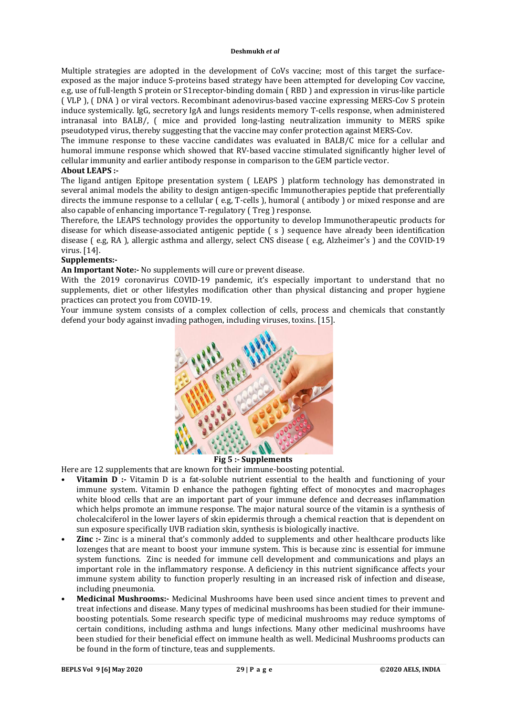Multiple strategies are adopted in the development of CoVs vaccine; most of this target the surfaceexposed as the major induce S-proteins based strategy have been attempted for developing Cov vaccine, e.g, use of full-length S protein or S1receptor-binding domain ( RBD ) and expression in virus-like particle ( VLP ), ( DNA ) or viral vectors. Recombinant adenovirus-based vaccine expressing MERS-Cov S protein induce systemically. IgG, secretory IgA and lungs residents memory T-cells response, when administered intranasal into BALB/, ( mice and provided long-lasting neutralization immunity to MERS spike pseudotyped virus, thereby suggesting that the vaccine may confer protection against MERS-Cov.

The immune response to these vaccine candidates was evaluated in BALB/C mice for a cellular and humoral immune response which showed that RV-based vaccine stimulated significantly higher level of cellular immunity and earlier antibody response in comparison to the GEM particle vector.

# **About LEAPS :-**

The ligand antigen Epitope presentation system ( LEAPS ) platform technology has demonstrated in several animal models the ability to design antigen-specific Immunotherapies peptide that preferentially directs the immune response to a cellular ( e.g, T-cells ), humoral ( antibody ) or mixed response and are also capable of enhancing importance T-regulatory ( Treg ) response.

Therefore, the LEAPS technology provides the opportunity to develop Immunotherapeutic products for disease for which disease-associated antigenic peptide ( s ) sequence have already been identification disease ( e.g, RA ), allergic asthma and allergy, select CNS disease ( e.g, Alzheimer's ) and the COVID-19 virus. [14].

# **Supplements:-**

**An Important Note:-** No supplements will cure or prevent disease.

With the 2019 coronavirus COVID-19 pandemic, it's especially important to understand that no supplements, diet or other lifestyles modification other than physical distancing and proper hygiene practices can protect you from COVID-19.

Your immune system consists of a complex collection of cells, process and chemicals that constantly defend your body against invading pathogen, including viruses, toxins. [15].



**Fig 5 :- Supplements** 

Here are 12 supplements that are known for their immune-boosting potential.

- **Vitamin D** :- Vitamin D is a fat-soluble nutrient essential to the health and functioning of your immune system. Vitamin D enhance the pathogen fighting effect of monocytes and macrophages white blood cells that are an important part of your immune defence and decreases inflammation which helps promote an immune response. The major natural source of the vitamin is a synthesis of cholecalciferol in the lower layers of skin epidermis through a chemical reaction that is dependent on sun exposure specifically UVB radiation skin, synthesis is biologically inactive.
- **Zinc** :- Zinc is a mineral that's commonly added to supplements and other healthcare products like lozenges that are meant to boost your immune system. This is because zinc is essential for immune system functions. Zinc is needed for immune cell development and communications and plays an important role in the inflammatory response. A deficiency in this nutrient significance affects your immune system ability to function properly resulting in an increased risk of infection and disease, including pneumonia.
- **Medicinal Mushrooms:-** Medicinal Mushrooms have been used since ancient times to prevent and treat infections and disease. Many types of medicinal mushrooms has been studied for their immuneboosting potentials. Some research specific type of medicinal mushrooms may reduce symptoms of certain conditions, including asthma and lungs infections. Many other medicinal mushrooms have been studied for their beneficial effect on immune health as well. Medicinal Mushrooms products can be found in the form of tincture, teas and supplements.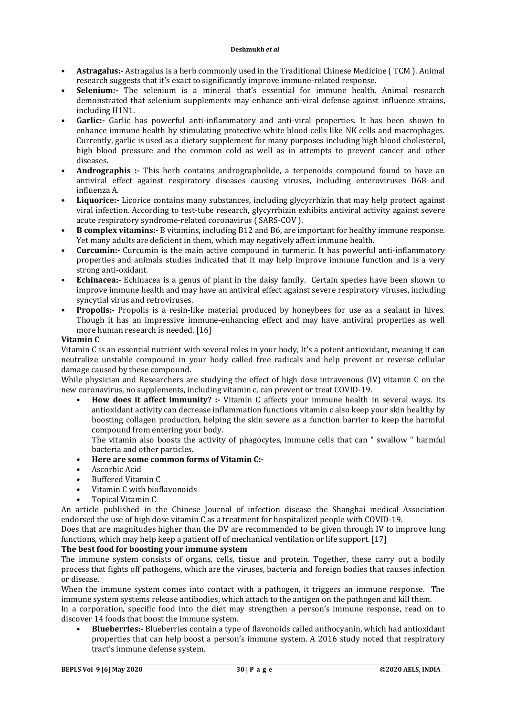- **Astragalus:-** Astragalus is a herb commonly used in the Traditional Chinese Medicine ( TCM ). Animal research suggests that it's exact to significantly improve immune-related response.
- **Selenium:-** The selenium is a mineral that's essential for immune health. Animal research demonstrated that selenium supplements may enhance anti-viral defense against influence strains, including H1N1.
- **Garlic:-** Garlic has powerful anti-inflammatory and anti-viral properties. It has been shown to enhance immune health by stimulating protective white blood cells like NK cells and macrophages. Currently, garlic is used as a dietary supplement for many purposes including high blood cholesterol, high blood pressure and the common cold as well as in attempts to prevent cancer and other diseases.
- **Andrographis :-** This herb contains andrographolide, a terpenoids compound found to have an antiviral effect against respiratory diseases causing viruses, including enteroviruses D68 and influenza A.
- **Liquorice:-** Licorice contains many substances, including glycyrrhizin that may help protect against viral infection. According to test-tube research, glycyrrhizin exhibits antiviral activity against severe acute respiratory syndrome-related coronavirus ( SARS-COV ).
- **B complex vitamins:-** B vitamins, including B12 and B6, are important for healthy immune response. Yet many adults are deficient in them, which may negatively affect immune health.
- **Curcumin:-** Curcumin is the main active compound in turmeric. It has powerful anti-inflammatory properties and animals studies indicated that it may help improve immune function and is a very strong anti-oxidant.
- **Echinacea:-** Echinacea is a genus of plant in the daisy family. Certain species have been shown to improve immune health and may have an antiviral effect against severe respiratory viruses, including syncytial virus and retroviruses.
- **Propolis:-** Propolis is a resin-like material produced by honeybees for use as a sealant in hives. Though it has an impressive immune-enhancing effect and may have antiviral properties as well more human research is needed. [16]

# **Vitamin C**

Vitamin C is an essential nutrient with several roles in your body, It's a potent antioxidant, meaning it can neutralize unstable compound in your body called free radicals and help prevent or reverse cellular damage caused by these compound.

While physician and Researchers are studying the effect of high dose intravenous (IV) vitamin C on the new coronavirus, no supplements, including vitamin c, can prevent or treat COVID-19.

• **How does it affect immunity? :-** Vitamin C affects your immune health in several ways. Its antioxidant activity can decrease inflammation functions vitamin c also keep your skin healthy by boosting collagen production, helping the skin severe as a function barrier to keep the harmful compound from entering your body.

The vitamin also boosts the activity of phagocytes, immune cells that can " swallow " harmful bacteria and other particles.

- **Here are some common forms of Vitamin C:-**
- Ascorbic Acid
- Buffered Vitamin C
- Vitamin C with bioflavonoids
- Topical Vitamin C

An article published in the Chinese Journal of infection disease the Shanghai medical Association endorsed the use of high dose vitamin C as a treatment for hospitalized people with COVID-19.

Does that are magnitudes higher than the DV are recommended to be given through IV to improve lung functions, which may help keep a patient off of mechanical ventilation or life support. [17]

# **The best food for boosting your immune system**

The immune system consists of organs, cells, tissue and protein. Together, these carry out a bodily process that fights off pathogens, which are the viruses, bacteria and foreign bodies that causes infection or disease.

When the immune system comes into contact with a pathogen, it triggers an immune response. The immune system systems release antibodies, which attach to the antigen on the pathogen and kill them.

In a corporation, specific food into the diet may strengthen a person's immune response, read on to discover 14 foods that boost the immune system.

• **Blueberries:-** Blueberries contain a type of flavonoids called anthocyanin, which had antioxidant properties that can help boost a person's immune system. A 2016 study noted that respiratory tract's immune defense system.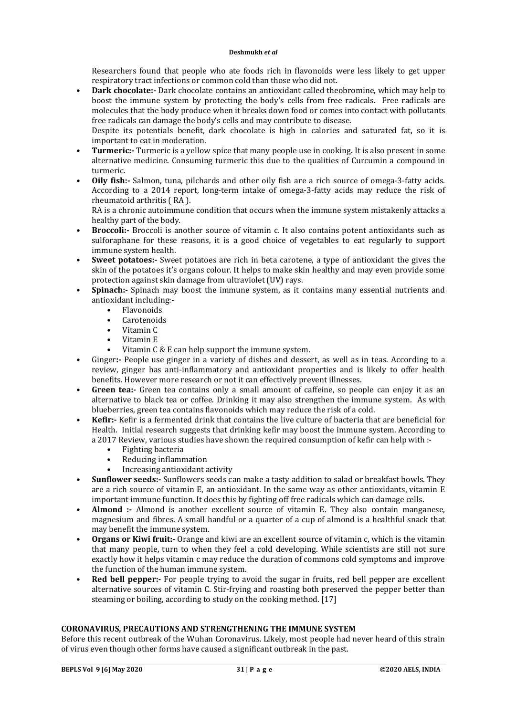Researchers found that people who ate foods rich in flavonoids were less likely to get upper respiratory tract infections or common cold than those who did not.

• **Dark chocolate:-** Dark chocolate contains an antioxidant called theobromine, which may help to boost the immune system by protecting the body's cells from free radicals. Free radicals are molecules that the body produce when it breaks down food or comes into contact with pollutants free radicals can damage the body's cells and may contribute to disease.

Despite its potentials benefit, dark chocolate is high in calories and saturated fat, so it is important to eat in moderation.

- **Turmeric:-** Turmeric is a yellow spice that many people use in cooking. It is also present in some alternative medicine. Consuming turmeric this due to the qualities of Curcumin a compound in turmeric.
- **Oily fish:-** Salmon, tuna, pilchards and other oily fish are a rich source of omega-3-fatty acids. According to a 2014 report, long-term intake of omega-3-fatty acids may reduce the risk of rheumatoid arthritis ( RA ).

RA is a chronic autoimmune condition that occurs when the immune system mistakenly attacks a healthy part of the body.

- **Broccoli:-** Broccoli is another source of vitamin c. It also contains potent antioxidants such as sulforaphane for these reasons, it is a good choice of vegetables to eat regularly to support immune system health.
- **Sweet potatoes:-** Sweet potatoes are rich in beta carotene, a type of antioxidant the gives the skin of the potatoes it's organs colour. It helps to make skin healthy and may even provide some protection against skin damage from ultraviolet (UV) rays.
- **Spinach:-** Spinach may boost the immune system, as it contains many essential nutrients and antioxidant including:-
	- Flavonoids
	- Carotenoids
	- Vitamin C
	- Vitamin E
	- Vitamin C & E can help support the immune system.
- Ginger**:-** People use ginger in a variety of dishes and dessert, as well as in teas. According to a review, ginger has anti-inflammatory and antioxidant properties and is likely to offer health benefits. However more research or not it can effectively prevent illnesses.
- **Green tea:-** Green tea contains only a small amount of caffeine, so people can enjoy it as an alternative to black tea or coffee. Drinking it may also strengthen the immune system. As with blueberries, green tea contains flavonoids which may reduce the risk of a cold.
- **Kefir:-** Kefir is a fermented drink that contains the live culture of bacteria that are beneficial for Health. Initial research suggests that drinking kefir may boost the immune system. According to a 2017 Review, various studies have shown the required consumption of kefir can help with :-
	- Fighting bacteria
	- Reducing inflammation
	- Increasing antioxidant activity
- **Sunflower seeds:-** Sunflowers seeds can make a tasty addition to salad or breakfast bowls. They are a rich source of vitamin E, an antioxidant. In the same way as other antioxidants, vitamin E important immune function. It does this by fighting off free radicals which can damage cells.
- **Almond :-** Almond is another excellent source of vitamin E. They also contain manganese, magnesium and fibres. A small handful or a quarter of a cup of almond is a healthful snack that may benefit the immune system.
- **Organs or Kiwi fruit:-** Orange and kiwi are an excellent source of vitamin c, which is the vitamin that many people, turn to when they feel a cold developing. While scientists are still not sure exactly how it helps vitamin c may reduce the duration of commons cold symptoms and improve the function of the human immune system.
- **Red bell pepper:** For people trying to avoid the sugar in fruits, red bell pepper are excellent alternative sources of vitamin C. Stir-frying and roasting both preserved the pepper better than steaming or boiling, according to study on the cooking method. [17]

# **CORONAVIRUS, PRECAUTIONS AND STRENGTHENING THE IMMUNE SYSTEM**

Before this recent outbreak of the Wuhan Coronavirus. Likely, most people had never heard of this strain of virus even though other forms have caused a significant outbreak in the past.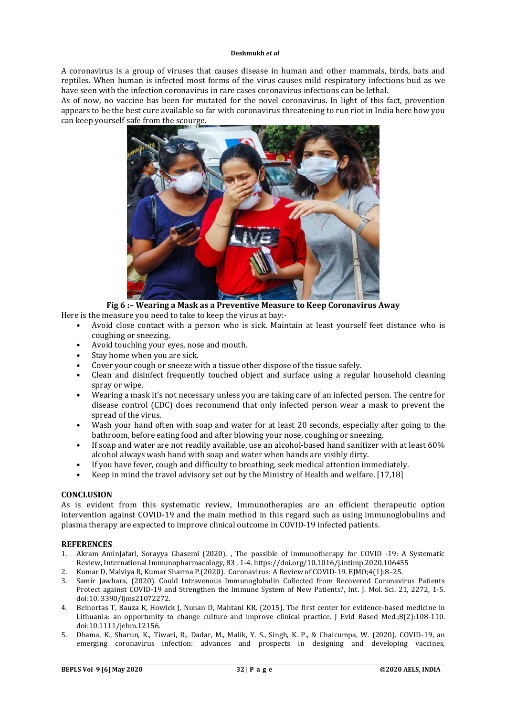A coronavirus is a group of viruses that causes disease in human and other mammals, birds, bats and reptiles. When human is infected most forms of the virus causes mild respiratory infections bud as we have seen with the infection coronavirus in rare cases coronavirus infections can be lethal.

As of now, no vaccine has been for mutated for the novel coronavirus. In light of this fact, prevention appears to be the best cure available so far with coronavirus threatening to run riot in India here how you can keep yourself safe from the scourge.



**Fig 6 :– Wearing a Mask as a Preventive Measure to Keep Coronavirus Away** Here is the measure you need to take to keep the virus at bay:-

- Avoid close contact with a person who is sick. Maintain at least yourself feet distance who is coughing or sneezing.
- Avoid touching your eyes, nose and mouth.
- Stay home when you are sick.
- Cover your cough or sneeze with a tissue other dispose of the tissue safely.
- Clean and disinfect frequently touched object and surface using a regular household cleaning spray or wipe.
- Wearing a mask it's not necessary unless you are taking care of an infected person. The centre for disease control (CDC) does recommend that only infected person wear a mask to prevent the spread of the virus.
- Wash your hand often with soap and water for at least 20 seconds, especially after going to the bathroom, before eating food and after blowing your nose, coughing or sneezing.
- If soap and water are not readily available, use an alcohol-based hand sanitizer with at least 60% alcohol always wash hand with soap and water when hands are visibly dirty.
- If you have fever, cough and difficulty to breathing, seek medical attention immediately.
- Keep in mind the travel advisory set out by the Ministry of Health and welfare. [17,18]

# **CONCLUSION**

As is evident from this systematic review, Immunotherapies are an efficient therapeutic option intervention against COVID-19 and the main method in this regard such as using immunoglobulins and plasma therapy are expected to improve clinical outcome in COVID-19 infected patients.

### **REFERENCES**

- 1. Akram AminJafari, Sorayya Ghasemi (2020). , The possible of immunotherapy for COVID -19: A Systematic Review, International Immunopharmacology, 83 , 1-4. <https://doi.org/10.1016/j.intimp.2020.106455>
- 2. Kumar D, Malviya R, Kumar Sharma P.(2020). Coronavirus: A Review of COVID-19. EJMO;4(1):8–25.
- 3. Samir Jawhara, (2020). Could Intravenous Immunoglobulin Collected from Recovered Coronavirus Patients Protect against COVID-19 and Strengthen the Immune System of New Patients?, Int. J. Mol. Sci. 21, 2272, 1-5. doi:10. 3390/ijms21072272.
- 4. Beinortas T, Bauza K, Howick J, Nunan D, Mahtani KR. (2015). The first center for evidence-based medicine in Lithuania: an opportunity to change culture and improve clinical practice. J Evid Based Med.;8(2):108‐110. doi:10.1111/jebm.12156.
- 5. Dhama, K., Sharun, K., Tiwari, R., Dadar, M., Malik, Y. S., Singh, K. P., & Chaicumpa, W. (2020). COVID-19, an emerging coronavirus infection: advances and prospects in designing and developing vaccines,